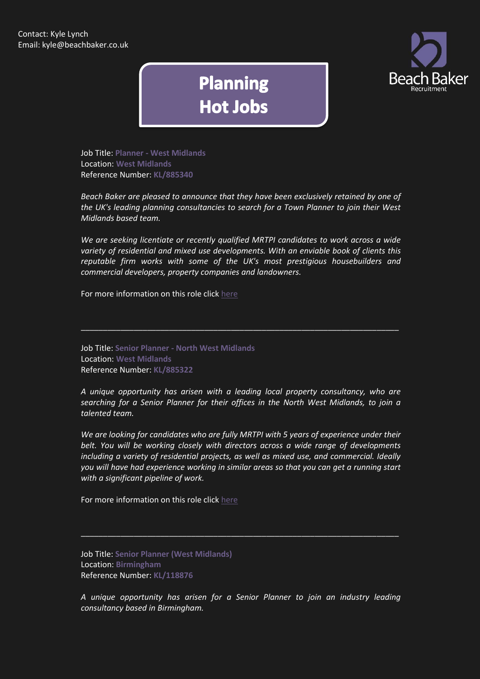

## **Planning Hot Jobs**

Job Title: **Planner - West Midlands** Location: **West Midlands** Reference Number: **KL/885340**

*Beach Baker are pleased to announce that they have been exclusively retained by one of the UK's leading planning consultancies to search for a Town Planner to join their West Midlands based team.*

*We are seeking licentiate or recently qualified MRTPI candidates to work across a wide variety of residential and mixed use developments. With an enviable book of clients this reputable firm works with some of the UK's most prestigious housebuilders and commercial developers, property companies and landowners.*

\_\_\_\_\_\_\_\_\_\_\_\_\_\_\_\_\_\_\_\_\_\_\_\_\_\_\_\_\_\_\_\_\_\_\_\_\_\_\_\_\_\_\_\_\_\_\_\_\_\_\_\_\_\_\_\_\_\_\_\_\_\_\_\_\_\_\_\_\_\_\_\_

For more information on this role click [here](http://www.beachbaker.co.uk/jobs/planner-west-midlands-west-midlands/804-1/)

Job Title: **Senior Planner - North West Midlands** Location: **West Midlands** Reference Number: **KL/885322**

*A unique opportunity has arisen with a leading local property consultancy, who are searching for a Senior Planner for their offices in the North West Midlands, to join a talented team.*

*We are looking for candidates who are fully MRTPI with 5 years of experience under their belt. You will be working closely with directors across a wide range of developments including a variety of residential projects, as well as mixed use, and commercial. Ideally you will have had experience working in similar areas so that you can get a running start with a significant pipeline of work.*

For more information on this role click [here](http://www.beachbaker.co.uk/jobs/senior-planner-north-west-midlands-west-midlands/789-1/)

Job Title: **Senior Planner (West Midlands)** Location: **Birmingham** Reference Number: **KL/118876**

*A unique opportunity has arisen for a Senior Planner to join an industry leading consultancy based in Birmingham.*

\_\_\_\_\_\_\_\_\_\_\_\_\_\_\_\_\_\_\_\_\_\_\_\_\_\_\_\_\_\_\_\_\_\_\_\_\_\_\_\_\_\_\_\_\_\_\_\_\_\_\_\_\_\_\_\_\_\_\_\_\_\_\_\_\_\_\_\_\_\_\_\_